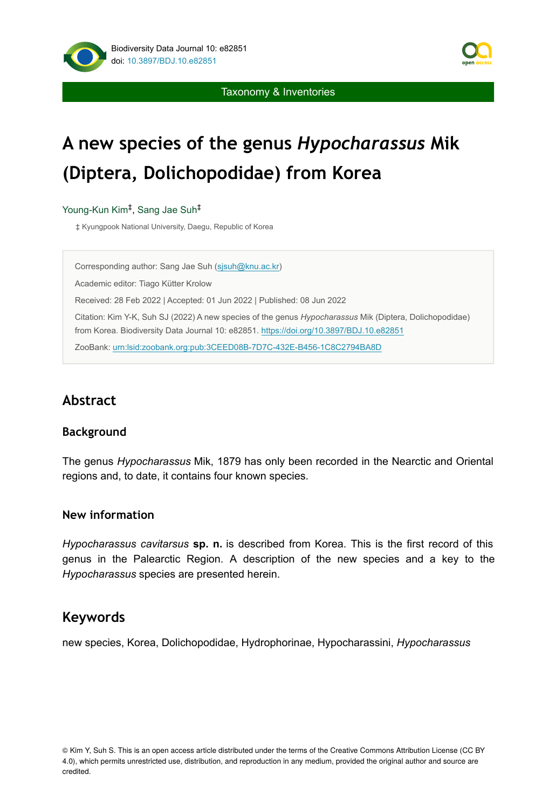



Taxonomy & Inventories

# **A new species of the genus** *Hypocharassus* **Mik (Diptera, Dolichopodidae) from Korea**

Young-Kun Kim<sup>‡</sup>, Sang Jae Suh<sup>‡</sup>

‡ Kyungpook National University, Daegu, Republic of Korea

Corresponding author: Sang Jae Suh ([sjsuh@knu.ac.kr\)](mailto:sjsuh@knu.ac.kr) Academic editor: Tiago Kütter Krolow Received: 28 Feb 2022 | Accepted: 01 Jun 2022 | Published: 08 Jun 2022 Citation: Kim Y-K, Suh SJ (2022) A new species of the genus *Hypocharassus* Mik (Diptera, Dolichopodidae) from Korea. Biodiversity Data Journal 10: e82851. <https://doi.org/10.3897/BDJ.10.e82851> ZooBank: [urn:lsid:zoobank.org:pub:3CEED08B-7D7C-432E-B456-1C8C2794BA8D](http://zoobank.org/3CEED08B-7D7C-432E-B456-1C8C2794BA8D)

# **Abstract**

#### **Background**

The genus *Hypocharassus* Mik, 1879 has only been recorded in the Nearctic and Oriental regions and, to date, it contains four known species.

#### **New information**

*Hypocharassus cavitarsus* **sp. n.** is described from Korea. This is the first record of this genus in the Palearctic Region. A description of the new species and a key to the *Hypocharassus* species are presented herein.

## **Keywords**

new species, Korea, Dolichopodidae, Hydrophorinae, Hypocharassini, *Hypocharassus*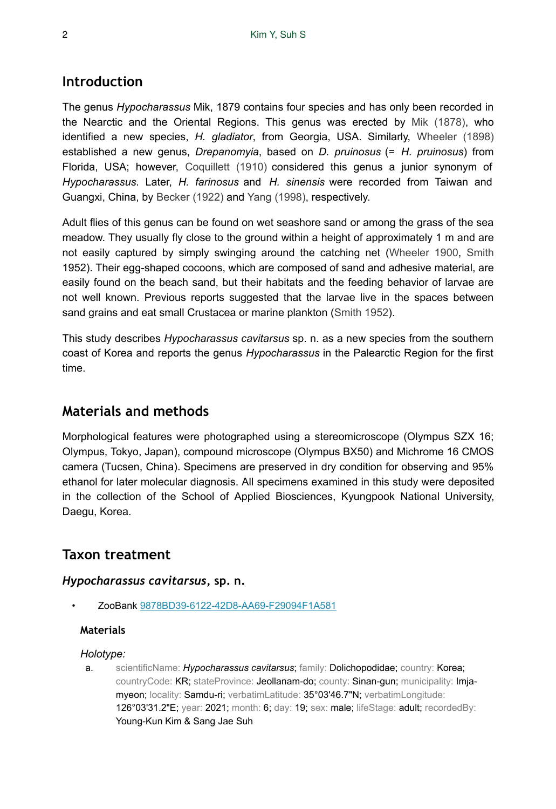## **Introduction**

The genus *Hypocharassus* Mik, 1879 contains four species and has only been recorded in the Nearctic and the Oriental Regions. This genus was erected by [Mik \(1878\)](#page-6-0), who identified a new species, *H. gladiator*, from Georgia, USA. Similarly, [Wheeler \(1898\)](#page-6-1) established a new genus, *Drepanomyia*, based on *D. pruinosus* (= *H. pruinosus*) from Florida, USA; however, [Coquillett \(1910\)](#page-6-2) considered this genus a junior synonym of *Hypocharassus*. Later, *H. farinosus* and *H. sinensis* were recorded from Taiwan and Guangxi, China, by [Becker \(1922\)](#page-6-3) and [Yang \(1998\),](#page-6-4) respectively.

Adult flies of this genus can be found on wet seashore sand or among the grass of the sea meadow. They usually fly close to the ground within a height of approximately 1 m and are not easily captured by simply swinging around the catching net [\(Wheeler 1900](#page-6-5), [Smith](#page-6-6) 1952). Their egg-shaped cocoons, which are composed of sand and adhesive material, are easily found on the beach sand, but their habitats and the feeding behavior of larvae are not well known. Previous reports suggested that the larvae live in the spaces between sand grains and eat small Crustacea or marine plankton ([Smith 1952\)](#page-6-6).

This study describes *Hypocharassus cavitarsus* sp. n. as a new species from the southern coast of Korea and reports the genus *Hypocharassus* in the Palearctic Region for the first time.

## **Materials and methods**

Morphological features were photographed using a stereomicroscope (Olympus SZX 16; Olympus, Tokyo, Japan), compound microscope (Olympus BX50) and Michrome 16 CMOS camera (Tucsen, China). Specimens are preserved in dry condition for observing and 95% ethanol for later molecular diagnosis. All specimens examined in this study were deposited in the collection of the School of Applied Biosciences, Kyungpook National University, Daegu, Korea.

## **Taxon treatment**

#### *Hypocharassus cavitarsus***, sp. n.**

• ZooBank [9878BD39-6122-42D8-AA69-F29094F1A581](http://zoobank.org/9878BD39-6122-42D8-AA69-F29094F1A581)

#### **Materials**

#### *Holotype:*

a. scientificName: *Hypocharassus cavitarsus*; family: Dolichopodidae; country: Korea; countryCode: KR; stateProvince: Jeollanam-do; county: Sinan-gun; municipality: Imjamyeon; locality: Samdu-ri; verbatimLatitude: 35°03'46.7"N; verbatimLongitude: 126°03'31.2"E; year: 2021; month: 6; day: 19; sex: male; lifeStage: adult; recordedBy: Young-Kun Kim & Sang Jae Suh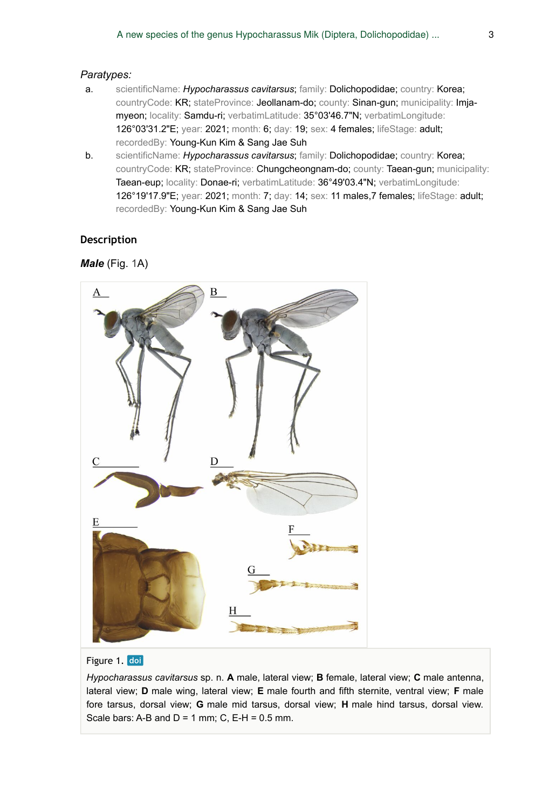#### *Paratypes:*

- a. scientificName: *Hypocharassus cavitarsus*; family: Dolichopodidae; country: Korea; countryCode: KR; stateProvince: Jeollanam-do; county: Sinan-gun; municipality: Imjamyeon; locality: Samdu-ri; verbatimLatitude: 35°03'46.7"N; verbatimLongitude: 126°03'31.2"E; year: 2021; month: 6; day: 19; sex: 4 females; lifeStage: adult; recordedBy: Young-Kun Kim & Sang Jae Suh
- b. scientificName: *Hypocharassus cavitarsus*; family: Dolichopodidae; country: Korea; countryCode: KR; stateProvince: Chungcheongnam-do; county: Taean-gun; municipality: Taean-eup; locality: Donae-ri; verbatimLatitude: 36°49'03.4"N; verbatimLongitude: 126°19'17.9"E; year: 2021; month: 7; day: 14; sex: 11 males,7 females; lifeStage: adult; recordedBy: Young-Kun Kim & Sang Jae Suh

#### **Description**

#### *Male* (Fig. [1](#page-2-0)A)

<span id="page-2-0"></span>

#### Figure 1. doi

*Hypocharassus cavitarsus* sp. n. **A** male, lateral view; **B** female, lateral view; **C** male antenna, lateral view; **D** male wing, lateral view; **E** male fourth and fifth sternite, ventral view; **F** male fore tarsus, dorsal view; **G** male mid tarsus, dorsal view; **H** male hind tarsus, dorsal view. Scale bars: A-B and  $D = 1$  mm; C, E-H = 0.5 mm.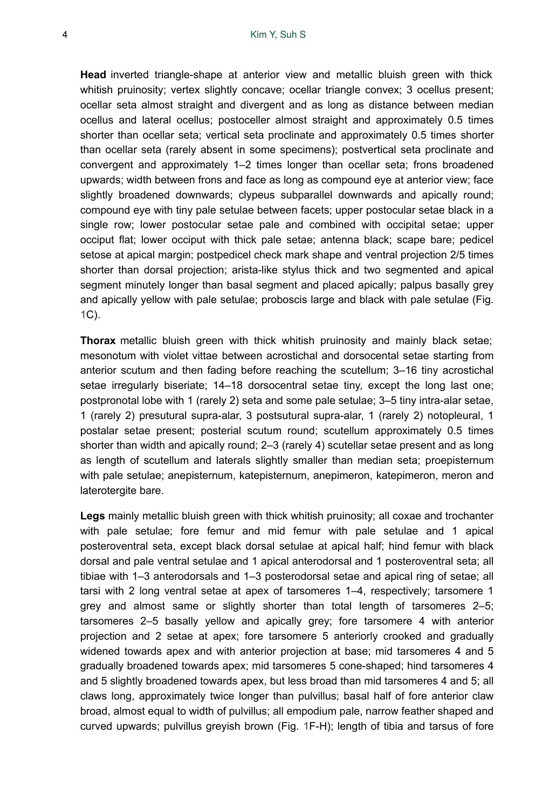**Head** inverted triangle-shape at anterior view and metallic bluish green with thick whitish pruinosity; vertex slightly concave; ocellar triangle convex; 3 ocellus present; ocellar seta almost straight and divergent and as long as distance between median ocellus and lateral ocellus; postoceller almost straight and approximately 0.5 times shorter than ocellar seta; vertical seta proclinate and approximately 0.5 times shorter than ocellar seta (rarely absent in some specimens); postvertical seta proclinate and convergent and approximately 1–2 times longer than ocellar seta; frons broadened upwards; width between frons and face as long as compound eye at anterior view; face slightly broadened downwards; clypeus subparallel downwards and apically round; compound eye with tiny pale setulae between facets; upper postocular setae black in a single row; lower postocular setae pale and combined with occipital setae; upper occiput flat; lower occiput with thick pale setae; antenna black; scape bare; pedicel setose at apical margin; postpedicel check mark shape and ventral projection 2/5 times shorter than dorsal projection; arista-like stylus thick and two segmented and apical segment minutely longer than basal segment and placed apically; palpus basally grey and apically yellow with pale setulae; proboscis large and black with pale setulae (Fig. [1](#page-2-0)C).

**Thorax** metallic bluish green with thick whitish pruinosity and mainly black setae; mesonotum with violet vittae between acrostichal and dorsocental setae starting from anterior scutum and then fading before reaching the scutellum; 3–16 tiny acrostichal setae irregularly biseriate; 14–18 dorsocentral setae tiny, except the long last one; postpronotal lobe with 1 (rarely 2) seta and some pale setulae; 3–5 tiny intra-alar setae, 1 (rarely 2) presutural supra-alar, 3 postsutural supra-alar, 1 (rarely 2) notopleural, 1 postalar setae present; posterial scutum round; scutellum approximately 0.5 times shorter than width and apically round; 2–3 (rarely 4) scutellar setae present and as long as length of scutellum and laterals slightly smaller than median seta; proepisternum with pale setulae; anepisternum, katepisternum, anepimeron, katepimeron, meron and laterotergite bare.

**Legs** mainly metallic bluish green with thick whitish pruinosity; all coxae and trochanter with pale setulae; fore femur and mid femur with pale setulae and 1 apical posteroventral seta, except black dorsal setulae at apical half; hind femur with black dorsal and pale ventral setulae and 1 apical anterodorsal and 1 posteroventral seta; all tibiae with 1–3 anterodorsals and 1–3 posterodorsal setae and apical ring of setae; all tarsi with 2 long ventral setae at apex of tarsomeres 1–4, respectively; tarsomere 1 grey and almost same or slightly shorter than total length of tarsomeres 2–5; tarsomeres 2–5 basally yellow and apically grey; fore tarsomere 4 with anterior projection and 2 setae at apex; fore tarsomere 5 anteriorly crooked and gradually widened towards apex and with anterior projection at base; mid tarsomeres 4 and 5 gradually broadened towards apex; mid tarsomeres 5 cone-shaped; hind tarsomeres 4 and 5 slightly broadened towards apex, but less broad than mid tarsomeres 4 and 5; all claws long, approximately twice longer than pulvillus; basal half of fore anterior claw broad, almost equal to width of pulvillus; all empodium pale, narrow feather shaped and curved upwards; pulvillus greyish brown (Fig. [1F](#page-2-0)-H); length of tibia and tarsus of fore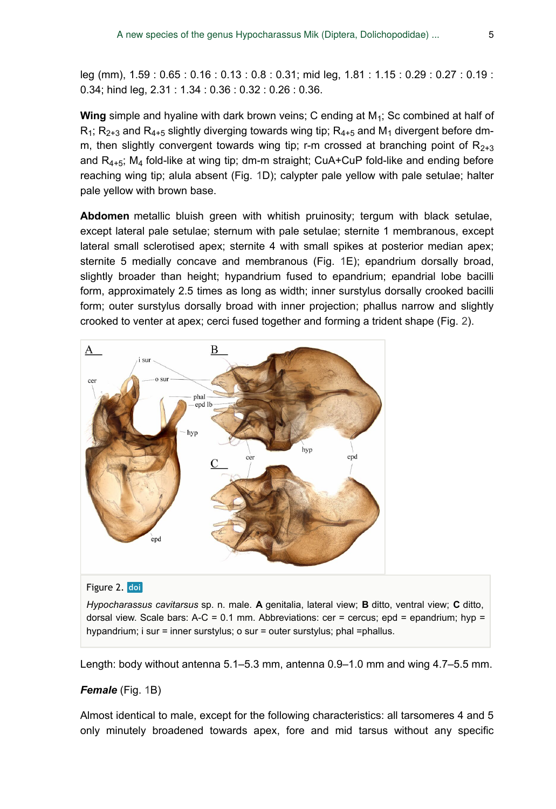leg (mm), 1.59 : 0.65 : 0.16 : 0.13 : 0.8 : 0.31; mid leg, 1.81 : 1.15 : 0.29 : 0.27 : 0.19 : 0.34; hind leg, 2.31 : 1.34 : 0.36 : 0.32 : 0.26 : 0.36.

Wing simple and hyaline with dark brown veins; C ending at M<sub>1</sub>; Sc combined at half of  $R_1$ ;  $R_{2+3}$  and  $R_{4+5}$  slightly diverging towards wing tip;  $R_{4+5}$  and  $M_1$  divergent before dmm, then slightly convergent towards wing tip; r-m crossed at branching point of  $R_{2+3}$ and  $R_{4+5}$ ; M<sub>4</sub> fold-like at wing tip; dm-m straight; CuA+CuP fold-like and ending before reaching wing tip; alula absent (Fig. [1D](#page-2-0)); calypter pale yellow with pale setulae; halter pale yellow with brown base.

**Abdomen** metallic bluish green with whitish pruinosity; tergum with black setulae, except lateral pale setulae; sternum with pale setulae; sternite 1 membranous, except lateral small sclerotised apex; sternite 4 with small spikes at posterior median apex; sternite 5 medially concave and membranous (Fig. [1](#page-2-0)E); epandrium dorsally broad, slightly broader than height; hypandrium fused to epandrium; epandrial lobe bacilli form, approximately 2.5 times as long as width; inner surstylus dorsally crooked bacilli form; outer surstylus dorsally broad with inner projection; phallus narrow and slightly crooked to venter at apex; cerci fused together and forming a trident shape (Fig. [2](#page-4-0)).

<span id="page-4-0"></span>

#### Figure 2. doi

*Hypocharassus cavitarsus* sp. n. male. **A** genitalia, lateral view; **B** ditto, ventral view; **C** ditto, dorsal view. Scale bars:  $A-C = 0.1$  mm. Abbreviations: cer = cercus; epd = epandrium; hyp = hypandrium; i sur = inner surstylus; o sur = outer surstylus; phal =phallus.

Length: body without antenna 5.1–5.3 mm, antenna 0.9–1.0 mm and wing 4.7–5.5 mm.

#### *Female* (Fig. [1](#page-2-0)B)

Almost identical to male, except for the following characteristics: all tarsomeres 4 and 5 only minutely broadened towards apex, fore and mid tarsus without any specific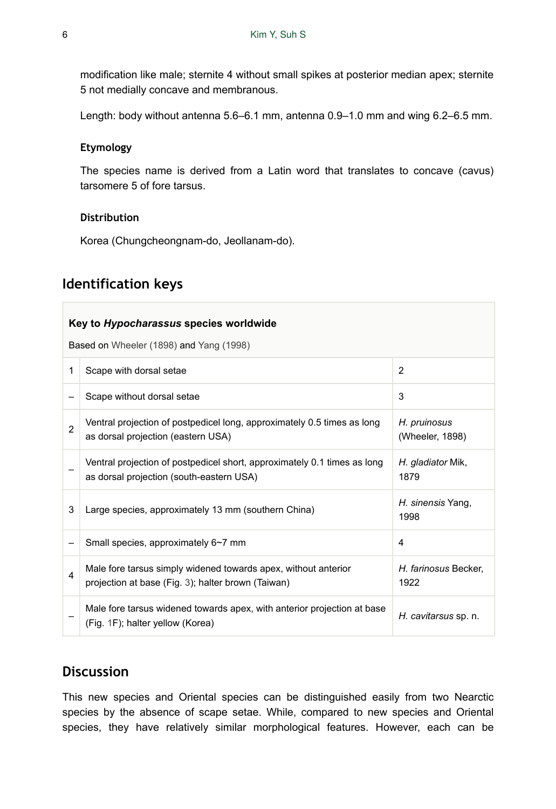modification like male; sternite 4 without small spikes at posterior median apex; sternite 5 not medially concave and membranous.

Length: body without antenna 5.6–6.1 mm, antenna 0.9–1.0 mm and wing 6.2–6.5 mm.

#### **Etymology**

The species name is derived from a Latin word that translates to concave (cavus) tarsomere 5 of fore tarsus.

#### **Distribution**

Korea (Chungcheongnam-do, Jeollanam-do).

## **Identification keys**

| Key to <i>Hypocharassus</i> species worldwide |                                                                                                                      |                                 |
|-----------------------------------------------|----------------------------------------------------------------------------------------------------------------------|---------------------------------|
| Based on Wheeler (1898) and Yang (1998)       |                                                                                                                      |                                 |
| 1                                             | Scape with dorsal setae                                                                                              | $\overline{2}$                  |
|                                               | Scape without dorsal setae                                                                                           | 3                               |
| $\mathfrak{p}$                                | Ventral projection of postpedicel long, approximately 0.5 times as long<br>as dorsal projection (eastern USA)        | H. pruinosus<br>(Wheeler, 1898) |
|                                               | Ventral projection of postpedicel short, approximately 0.1 times as long<br>as dorsal projection (south-eastern USA) | H. gladiator Mik,<br>1879       |
| 3                                             | Large species, approximately 13 mm (southern China)                                                                  | H. sinensis Yang,<br>1998       |
|                                               | Small species, approximately 6~7 mm                                                                                  | 4                               |
| 4                                             | Male fore tarsus simply widened towards apex, without anterior<br>projection at base (Fig. 3); halter brown (Taiwan) | H. farinosus Becker.<br>1922    |
|                                               | Male fore tarsus widened towards apex, with anterior projection at base<br>(Fig. 1F); halter yellow (Korea)          | H. cavitarsus sp. n.            |

## **Discussion**

This new species and Oriental species can be distinguished easily from two Nearctic species by the absence of scape setae. While, compared to new species and Oriental species, they have relatively similar morphological features. However, each can be